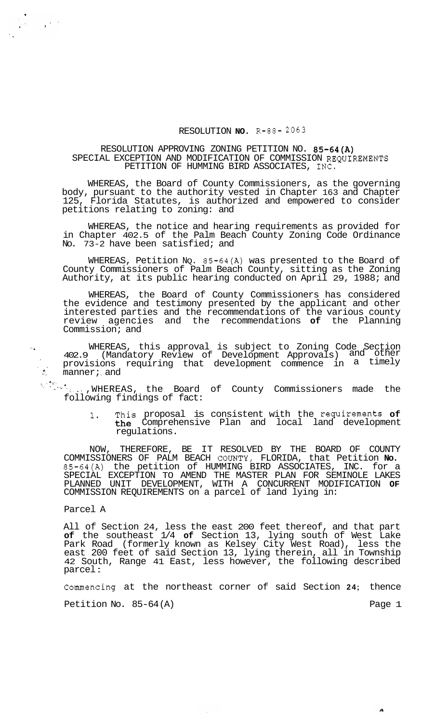## RESOLUTION **NO.** R-88- **2063**

## RESOLUTION APPROVING ZONING PETITION NO. 85-64(A) SPECIAL EXCEPTION AND MODIFICATION OF COMMISSION REQUIREMENTS PETITION OF HUMMING BIRD ASSOCIATES, INC.

WHEREAS, the Board of County Commissioners, as the governing body, pursuant to the authority vested in Chapter 163 and Chapter 125, Florida Statutes, is authorized and empowered to consider petitions relating to zoning: and

WHEREAS, the notice and hearing requirements as provided for in Chapter 402.5 of the Palm Beach County Zoning Code Ordinance No. 73-2 have been satisfied; and

WHEREAS, Petition NQ. 85-64(A) was presented to the Board of County Commissioners of Palm Beach County, sitting as the Zoning Authority, at its public hearing conducted on April 29, 1988; and

WHEREAS, the Board of County Commissioners has considered the evidence and testimony presented by the applicant and other interested parties and the recommendations of the various county review agencies and the recommendations **of** the Planning Commission; and

.. WHEREAS, this approval is subject to Zoning Code Section 402.9 (Mandatory Review of Development Approvals) and other in provisions requiring that development commence in a timely  $manner$ ; and

with ..., WHEREAS, the Board of County Commissioners made the following findings of fact:

> 1. This proposal is consistent with the requirements **of**  the Comprehensive Plan and local land development regulations.

NOW, THEREFORE, BE IT RESOLVED BY THE BOARD OF COUNTY COMMISSIONERS OF PALM BEACH COUNTY, FLORIDA, that Petition **No.**  85-64(A) the petition of HUMMING BIRD ASSOCIATES, INC. for a SPECIAL EXCEPTION TO AMEND THE MASTER PLAN FOR SEMINOLE LAKES PLANNED UNIT DEVELOPMENT, WITH A CONCURRENT MODIFICATION **OF**  COMMISSION REQUIREMENTS on a parcel of land lying in:

Parcel A

 $\frac{1}{3} \left( \frac{1}{2} \right)^{1/2}$ 

 $\frac{1}{2}$ 

All of Section 24, less the east 200 feet thereof, and that part **of** the southeast 1/4 **of** Section 13, lying south of West Lake Park Road (formerly known as Kelsey City West Road), less the east 200 feet of said Section 13, lying therein, all in Township 42 South, Range 41 East, less however, the following described parcel :

Commencing at the northeast corner of said Section **24;** thence

Petition No. 85-64(A) Petition No. 85-64(A)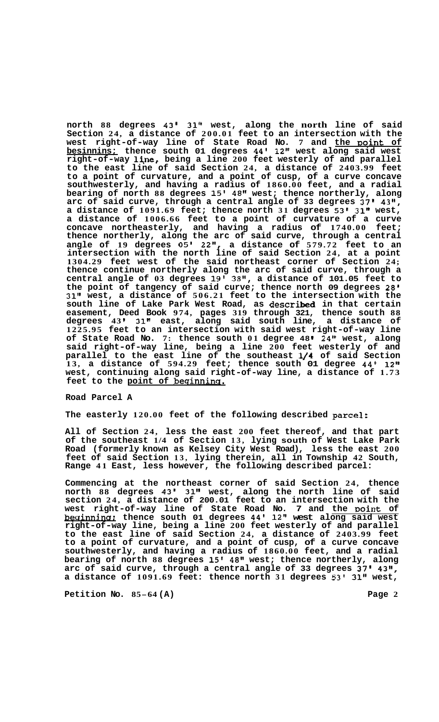**north 88 degrees 43' 31" west, along the north line of said Section 24, a distance of 200.01 feet to an intersection with the west right-of-way line of State Road No. 7 and the Doint of besinnins; thence south 01 degrees 44' 12" west along said west right-of-way line, being a line 200 feet westerly of and parallel to the east line of said Section 24, a distance of 2403.99 feet to a point of curvature, and a point of cusp, of a curve concave southwesterly, and having a radius of 1860.00 feet, and a radial bearing of north 88 degrees 15' 48" west; thence northerly, along arc of said curve, through a central angle of 33 degrees 37' 43", a** distance of 1091.69 feet; thence north 31 degrees 53' 31" west, **a distance of 1006.66 feet to a point of curvature of a curve concave northeasterly, and having a radius of 1740.00 feet; thence northerly, along the arc of said curve, through a central angle of 19 degrees** *05'* **22", a distance of 579.72 feet to an intersection with the north line of said Section 24, at a point 1304.29 feet west of the said northeast corner of Section 24; thence continue northerly along the arc of said curve, through a central angle of 03 degrees 19' 38", a distance of 101.05 feet to the point of tangency of said curve; thence north 09 degrees 28' 31" west, a distance of 506.21 feet to the intersection with the south line of Lake Park West Road, as described in that certain easement, Deed Book 974, pages 319 through 321, thence south 88 degrees 43 I 31" east, along said south line, a distance of 1225.95 feet to an intersection with said west right-of-way line of State Road No. 7: thence south 01 degree 48 24" west, along said right-of-way line, being a line 200 feet westerly of and parallel to the east line of the southeast 114 of said Section 13, a distance of 594.29 feet; thence south 01 degree 44' 12" west, continuing along said right-of-way line, a distance of 1.73 feet to the point of beginnins.** 

## **Road Parcel A**

**The easterly 120.00 feet of the following described parcel:** 

**All of Section 24, less the east 200 feet thereof, and that part of the southeast 1/4 of Section 13, lying south of West Lake Park Road (formerly known as Kelsey City West Road), less the east 200 feet of said Section 13, lying therein, all in Township 42 South, Range 41 East, less however, the following described parcel:** 

**Commencing at the northeast corner of said Section 24, thence north 88 degrees 43' 31" west, along the north line of said section 24, a distance of 200.01 feet to an intersection with the**  west right-of-way line of State Road No. 7 and the point of **becrinninst thence south 01 degrees 44' 12" west along said west right-of-way line, being a line 200 feet westerly of and parallel to the east line of said Section 24, a distance of 2403.99 feet to a point of curvature, and a point of cusp, of a curve concave southwesterly, and having a radius of 1860.00 feet, and a radial bearing of north 88 degrees 15' 48" west; thence northerly, along arc of said curve, through a central angle of 33 degrees 37' 43", a distance of 1091.69 feet: thence north 31 degrees 53' 31" west,**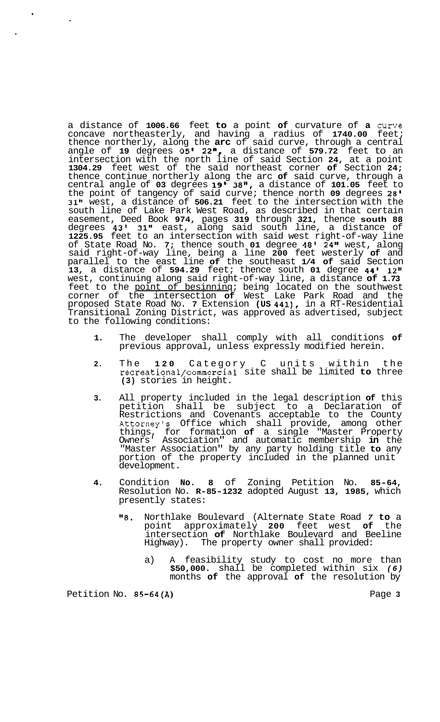a distance of **1006.66** feet **to** a point **of** curvature of **a** curve concave northeasterly, and having a radius of **1740.00** feet; thence northerly, along the **arc** of said curve, through a central angle of **19** degrees **05' 22",** a distance of **579.72** feet to an intersection with the north line of said Section **24,** at a point **1304.29** feet west of the said northeast corner **of** Section **24;**  thence continue northerly along the arc **of** said curve, through a central angle of **03** degrees **19' 38",** a distance of **101.05** feet to the point of tangency of said curve; thence north **09** degrees **28' 31"** west, a distance of **506.21** feet to the intersection with the south line of Lake Park West Road, as described in that certain easement, Deed Book **974,** pages **319** through **321,** thence **south 88**  degrees **43' 31"** east, along said south line, a distance of **1225.95** feet to an intersection with said west right-of-way line of State Road No. **7;** thence south **01** degree **48' 24"** west, along said right-of-way line, being a line **200** feet westerly **of** and parallel to the east line **of** the southeast **1/4 of** said Section **13,** a distance of **594.29** feet; thence south **01** degree **44' 12"**  west, continuing along said right-of-way line, a distance **of 1.73**  feet to the <u>point of besinninq</u>; being located on the southwest corner of the intersection **of** West Lake Park Road and the proposed State Road No. **7** Extension **(US 441),** in a RT-Residential Transitional Zoning District, was approved as advertised, subject to the following conditions:

- **1.** The developer shall comply with all conditions **of**  previous approval, unless expressly modified herein.
- **2.** The **120** Category C units within the recreational/commercial site shall be limited **to** three **(3)** stories in height.
- **3.** All property included in the legal description **of** this petition shall be subject to a Declaration of Restrictions and Covenants acceptable to the County Attorneyls Office which shall provide, among other things, for formation **of** a single "Master Property Owners' Association" and automatic membership **in** the "Master Association" by any party holding title **to** any portion of the property included in the planned unit development.
- **4.** Condition **No. 8** of Zoning Petition No. **85-64,**  Resolution No. **R-85-1232** adopted August **13, 1985,** which presently states:
	- **"8.** Northlake Boulevard (Alternate State Road *7* **to** a point approximately **200** feet west **of** the intersection **of** Northlake Boulevard and Beeline Highway). The property owner shall provided:
		- a) A feasibility study to cost no more than **\$50,000.** shall be completed within six *(6)*  months **of** the approval **of** the resolution by

Petition No. 85-64(A) **Petition No. 85-64(A)** 

 $\bullet$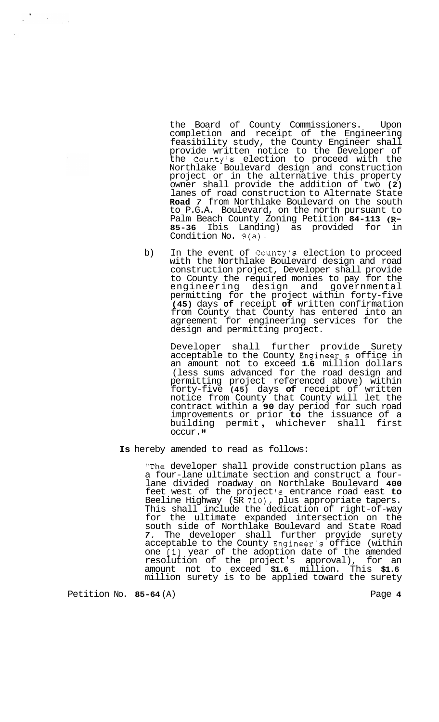the Board of County Commissioners. Upon completion and receipt of the Engineering feasibility study, the County Engineer shall provide written notice to the Developer of the County's election to proceed with the Northlake Boulevard design and construction project or in the alternative this property owner shall provide the addition of two **(2)**  lanes of road construction to Alternate State **Road** *7* from Northlake Boulevard on the south to P.G.A. Boulevard, on the north pursuant to Palm Beach County Zoning Petition **84-113 (R-85-36** Ibis Landing) as provided for in Condition No. 9(a).

b) In the event of County's election to proceed with the Northlake Boulevard design and road construction project, Developer shall provide to County the required monies to pay for the engineering design and governmental permitting for the project within forty-five **(45)** days **of** receipt **of** written confirmation from County that County has entered into an agreement for engineering services for the design and permitting project.

> Developer shall further provide Surety acceptable to the County Engineer's office in an amount not to exceed **1.6** million dollars (less sums advanced for the road design and permitting project referenced above) within forty-five **(45)** days **of** receipt of written notice from County that County will let the contract within a **90** day period for such road improvements or prior **to** the issuance of a building permit , whichever shall first occur. **'I**

## **Is** hereby amended to read as follows:

"The developer shall provide construction plans as a four-lane ultimate section and construct a fourlane divided roadway on Northlake Boulevard **400**  feet west of the project *'s* entrance road east **to**  Beeline Highway (SR **710),** plus appropriate tapers. This shall include the dedication of right-of-way for the ultimate expanded intersection on the south side of Northlake Boulevard and State Road *7.* The developer shall further provide surety acceptable to the County Engineer's office (within one **[l]** year of the adoption date of the amended resolution of the project's approval), for an amount not to exceed **\$1.6** million. This **\$1.6**  million surety is to be applied toward the surety

Petition No. 85-64 (A) Petition No. 85-64 **A** 

 $\frac{1}{2}$  ,  $\frac{1}{2}$ 

 $\mathbf{x}^{(i)}$ 

 $\frac{1}{2} \sum_{i=1}^n \frac{1}{2} \sum_{j=1}^n \frac{1}{2} \sum_{j=1}^n \frac{1}{2} \sum_{j=1}^n \frac{1}{2} \sum_{j=1}^n \frac{1}{2} \sum_{j=1}^n \frac{1}{2} \sum_{j=1}^n \frac{1}{2} \sum_{j=1}^n \frac{1}{2} \sum_{j=1}^n \frac{1}{2} \sum_{j=1}^n \frac{1}{2} \sum_{j=1}^n \frac{1}{2} \sum_{j=1}^n \frac{1}{2} \sum_{j=1}^n \frac{1}{2} \sum_{j=$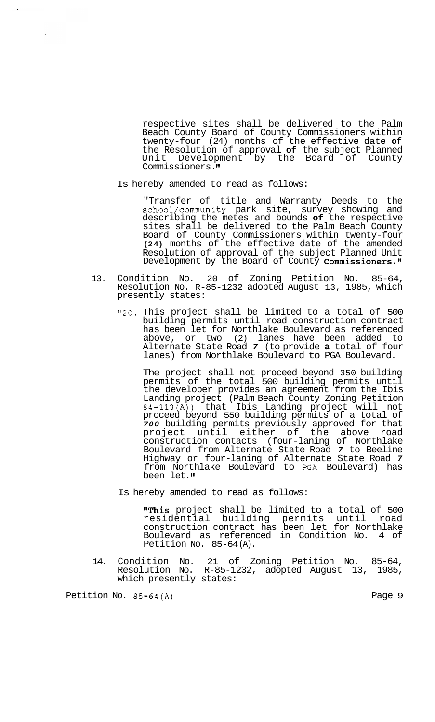respective sites shall be delivered to the Palm Beach County Board of County Commissioners within twenty-four (24) months of the effective date **of**  the Resolution of approval **of** the subject Planned Unit Development by the Board of County Commissioners.

Is hereby amended to read as follows:

"Transfer of title and Warranty Deeds to the school/community park site, survey showing and describing the metes and bounds **of** the respective sites shall be delivered to the Palm Beach County Board of County Commissioners within twenty-four **(24)** months of the effective date of the amended Resolution of approval of the subject Planned Unit Development by the Board of County Commissioners."

- 13. Condition No. 20 of Zoning Petition No. 85-64, Resolution No. R-85-1232 adopted August 13, 1985, which presently states:
	- "20. This project shall be limited to a total of 500 building permits until road construction contract has been let for Northlake Boulevard as referenced above, or two (2) lanes have been added to Alternate State Road *7* (to provide **a** total of four lanes) from Northlake Boulevard to PGA Boulevard.

The project shall not proceed beyond 350 building permits of the total 500 building permits until the developer provides an agreement from the Ibis Landing project (Palm Beach County Zoning Petition 84-113(A)) that Ibis Landing project will not proceed beyond 550 building permits of a total of *700* building permits previously approved for that project until either of the above road construction contacts (four-laning of Northlake Boulevard from Alternate State Road *7* to Beeline Highway or four-laning of Alternate State Road *7*  from Northlake Boulevard to **PGA** Boulevard) has been let.

Is hereby amended to read as follows:

"This project shall be limited to a total of 500 residential building permits until road construction contract has been let for Northlake Boulevard as referenced in Condition No. 4 of Petition No. 85-64 (A).

14. Condition No. 21 of Zoning Petition No. 85-64, Resolution No. R-85-1232, adopted August 13, 1985, which presently states:

Petition No. 85-64(A) Petition No. 85-64(A)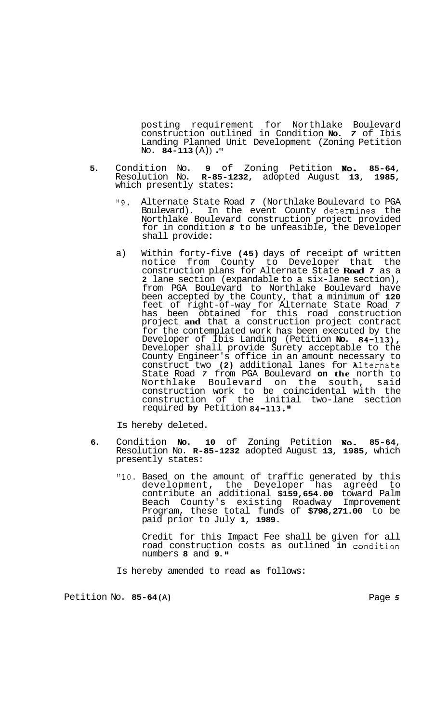posting requirement for Northlake Boulevard construction outlined in Condition **No.** *7* of Ibis Landing Planned Unit Development (Zoning Petition No. 84-113 (A)) ."

- **5.** Condition No. **9** of Zoning Petition **No. 85-64,**  Resolution No. **R-85-1232,** adopted August **13, 1985,**  which presently states:
	- **"9.** Alternate State Road *7* (Northlake Boulevard to PGA Boulevard). In the event County determines the Northlake Boulevard construction project provided for in condition *8* to be unfeasible, the Developer shall provide:
	- a) Within forty-five **(45)** days of receipt **of** written notice from County to Developer that the construction plans for Alternate State **Road** *7* as a **2** lane section (expandable to a six-lane section), from PGA Boulevard to Northlake Boulevard have been accepted by the County, that a minimum of **120**  feet of right-of-way for Alternate State Road *7*  has been obtained for this road construction project **and** that a construction project contract for the contemplated work has been executed by the Developer of Ibis Landing (Petition **No. 84-113),**  Developer shall provide Surety acceptable to the County Engineer's office in an amount necessary to construct two **(2)** additional lanes for Alternate State Road *7* from PGA Boulevard **on the** north to Northlake Boulevard on the south, construction work to be coincidental with the construction of the initial two-lane section required **by** Petition **84-113."**

Is hereby deleted.

- **6.** Condition **No. 10** of Zoning Petition **No, 85-64,**  Resolution No. **R-85-1232** adopted August **13, 1985,** which presently states:
	- **"10.** Based on the amount of traffic generated by this development, the Developer has agreed to contribute an additional **\$159,654.00** toward Palm Beach County's existing Roadway Improvement Program, these total funds of **\$798,271.00** to be paid prior to July **1, 1989.**

Credit for this Impact Fee shall be given for all road construction costs as outlined **in** condition numbers **8** and **9.** 

Is hereby amended to read **as** follows:

Petition No. **85-64 (A)** Page *5*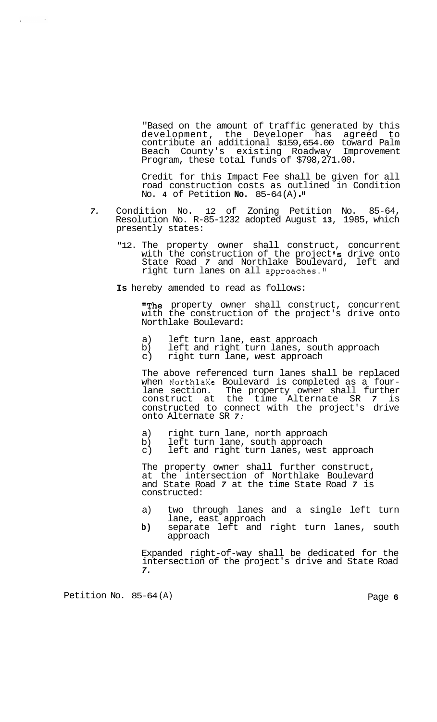<span id="page-6-0"></span>"Based on the amount of traffic generated by this development, the Developer has agreed to contribute an additional \$159,654.00 toward Palm Beach County's existing Roadway Improvement Program, these total funds of \$798,271.00.

Credit for this Impact Fee shall be given for all road construction costs as outlined in Condition No. **4** of Petition **No.** 85-64 (A) . **'I** 

- *7.* Condition No. 12 of Zoning Petition No. 85-64, Resolution No. R-85-1232 adopted August **13,** 1985, which presently states:
	- "12. The property owner shall construct, concurrent with the construction of the project **Is** drive onto State Road *7* and Northlake Boulevard, left and right turn lanes on all approaches."
	- **Is** hereby amended to read as follows:

**The** property owner shall construct, concurrent with the construction of the project's drive onto Northlake Boulevard:

- a) left turn lane, east approach<br>b) left and right turn lanes, sou
- b) left and right turn lanes, south approach<br>c) right turn lane, west approach
- right turn lane, west approach

The above referenced turn lanes shall be replaced when Northlake Boulevard is completed as a fourwhen NorthlaKe Boulevard is completed as a four- lane section. The property owner shall further construct at the time Alternate SR *7* is constructed to connect with the project's drive onto Alternate SR *7:* 

- a) right turn lane, north approach<br>b) left turn lane, south approach
- b) left turn lane, south approach
- c) left and right turn lanes, west approach

The property owner shall further construct, at the intersection of Northlake Boulevard and State Road *7* at the time State Road *7* is constructed:

- a) two through lanes and a single left turn lane, east approach
- **b)** separate left and right turn lanes, south approach

Expanded right-of-way shall be dedicated for the intersection of the project's drive and State Road *7.* 

Petition No. 85-64 (A) Petition No. 85-64 (A)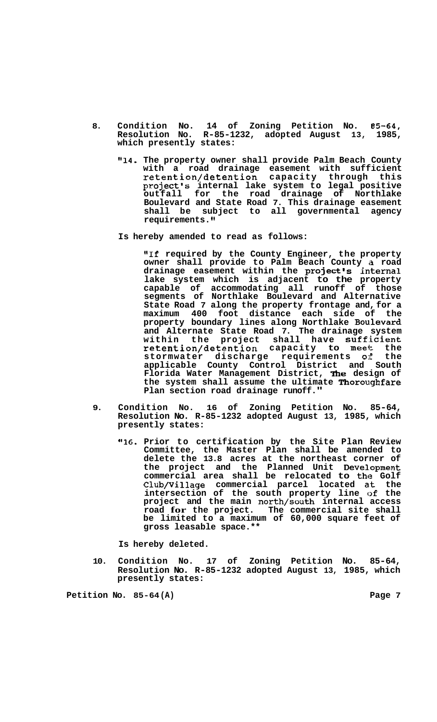- <span id="page-7-0"></span>**8. Condition No. 14 of Zoning Petition No. B5-64, Resolution No. R-85-1232, adopted August 13, 1985, which presently states:** 
	- **"14. The property owner shall provide Palm Beach County with a road drainage easement with sufficient retention/detention capacity through this project's internal lake system to legal positive outfall for the road drainage of Northlake Boulevard and State Road 7. This drainage easement shall be subject to all governmental agency requirements.**
	- **Is hereby amended to read as follows:**

**IIIf required by the County Engineer, the property**  owner shall provide to Palm Beach County a road drainage easement within the project's internal **lake system which is adjacent to the property capable of accommodating all runoff of those segments of Northlake Boulevard and Alternative State Road 7 along the property frontage and, for a maximum 400 foot distance each side of the property boundary lines along Northlake Bou,levard and Alternate State Road 7. The drainage system**  within the project shall have **sufficient retention/detention capacity to meet the**  stormwater discharge requirements of **applicable County Control District and South**  Florida Water Management District, The design of the system shall assume the ultimate Thoroughfare **Plan section road drainage runoff."** 

- **9. Condition No. 16 of Zoning Petition No. 85-64, Resolution No. R-85-1232 adopted August 13, 1985, which presently states:** 
	- **"16. Prior to certification by the Site Plan Review Committee, the Master Plan shall be amended to delete the 13.8 acres at the northeast corner of**  the project and the Planned Unit Development **commercial area shall be relocated to the Golf Club/Village commercial parcel located alt the intersection of the south property line of the project and the main north/south internal access road for the project. The commercial site shall be limited to a maximum of 60,000 square feet of gross leasable space.\*\***

**Is hereby deleted.** 

**10. Condition No. 17 of Zoning Petition No. 85-64, Resolution No. R-85-1232 adopted August 13, 1985, which presently states:** 

**Petition No. 85-64 (A) [Page 7](#page-6-0)**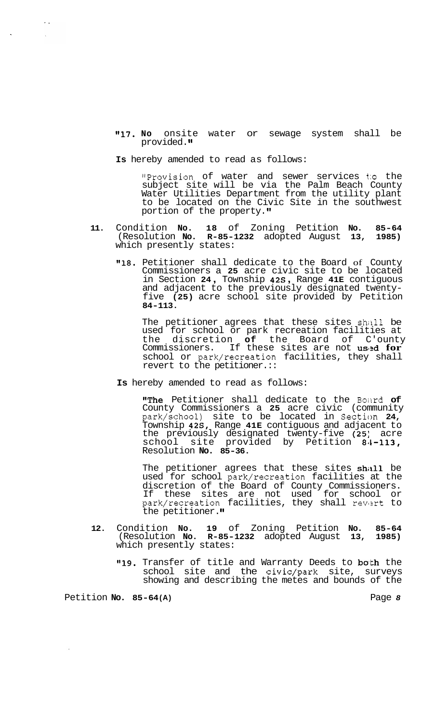**"17. No** onsite water or sewage system shall be provided.

**Is** hereby amended to read as follows:

"Provision of water and sewer services t;o the subject site will be via the Palm Beach County Water Utilities Department from the utility plant to be located on the Civic Site in the southwest portion of the property."

- **11.** Condition **No. 18** of Zoning Petition **No. 85-64**  (Resolution **No. R-85-1232** adopted August **13, 1985)**  which presently states:
	- **"18.** Petitioner shall dedicate to the Board of County Commissioners a **25** acre civic site to be located in Section **24** , Township **42s** , Range **41E** contiguous and adjacent to the previously designated twenty- five **(25)** acre school site provided by Petition **84-113.**

The petitioner agrees that these sites shall be used for school or park recreation facilities at the discretion **of** the Board of C'ounty Commissioners. If these sites are not us13d **for**  school or park/recreation facilities, they shall revert to the petitioner.::

**Is** hereby amended to read as follows:

"The Petitioner shall dedicate to the Boitrd **of**  County Commissioners a **25** acre civic (community park/school) site to be located in Section **24,**  Township **42S,** Range **41E** contiguous and adjacent to the previously designated twenty-five **(25:** acre school site provided by Petition **8'1-113,**  Resolution **No. 85-36.** 

The petitioner agrees that these sites shall be used for school park/recreation facilities at the discretion of the Board of County Commissioners. If these sites are not used for school or park/recreation facilities, they shall revert to the petitioner."

- **12.** Condition **No. 19** of Zoning Petition **No. 85-64**  (Resolution **No. R-85-1232** adopted August **13, 1985)**  which presently states:
	- "19. Transfer of title and Warranty Deeds to both the school site and the civic/park site, surveys showing and describing the metes and bounds of the

Petition **No. 85-64 (A)** [Page](#page-7-0) *8* 

<span id="page-8-0"></span> $\mathcal{L}_{\mathcal{A}}$  $\mathcal{A}$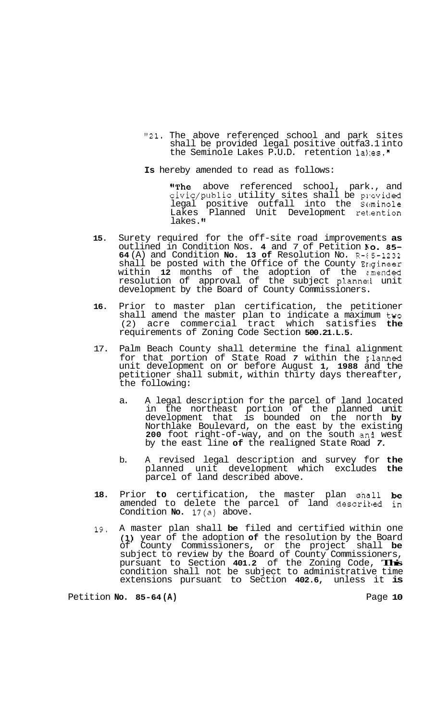- "21. The above referenced school and park sites shall be provided legal positive outfa3.1 into the Seminole Lakes P.U.D. retention lakes."
- **Is** hereby amended to read as follows:

"The above referenced school, park., and civic/public utility sites shall be provided legal positive outfall into the Seminole Lakes Planned Unit Development ret.ention lakes. **It** 

- **15.** Surety required for the off-site road improvements **as**  outlined in Condition Nos. **4** and 7 of Petition **No. 85-64** (A) and Condition **No. 13 of** Resolution No. R-€5-1232 shall be posted with the Office of the County Erigineer within **12** months of the adoption of the z.mended resolution of approval of the subject planneci unit development by the Board of County Commissioners.
- **16.** Prior to master plan certification, the petitioner shall amend the master plan to indicate a maximum two (2) acre commercial tract which satisfies **the**  requirements of Zoning Code Section **500.21.L.5.**
- 17. Palm Beach County shall determine the final alignment for that portion of State Road 7 within the planned unit development on or before August **1, 1988** and the petitioner shall submit, within thirty days thereafter, the following:
	- a. A legal description for the parcel of land located in the northeast portion of the planned unit development that is bounded on the north **by**  Northlake Boulevard, on the east by the existing **200** foot right-of-way, and on the south an3 west by the east line **of** the realigned State Road *7.*
	- b. A revised legal description and survey for **the**  planned unit development which excludes **the**  parcel of land described above.
- **18.** Prior **to** certification, the master plan shall **be**  amended to delete the parcel of land descriked in Condition **No.** 17(a) above.
- **19.** A master plan shall **be** filed and certified within one **(1)** year of the adoption **of** the resolution by the Board of County Commissioners, or the project shall **be**  subject to review by the Board of County Commissioners, pursuant to Section **401.2** of the Zoning Code, **This**  condition shall not be subject to administrative time extensions pursuant to Section **402.6,** unless it **is**

Petition **No. 85-64 (A)** Page **10**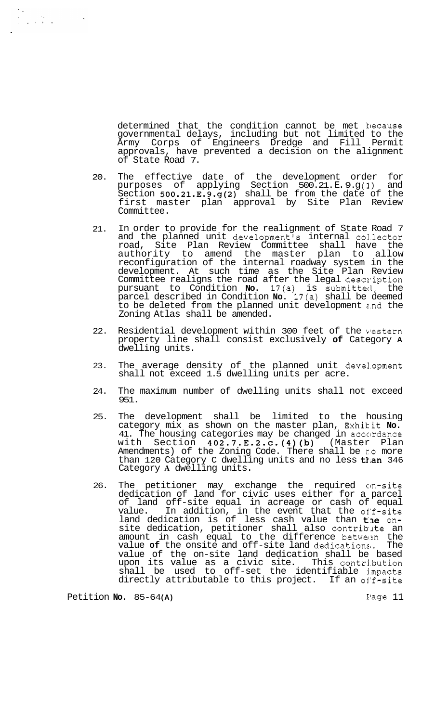determined that the condition cannot be met hecause governmental delays, including but not limited to the Army Corps of Engineers Dredge and Fill Permit approvals, have prevented a decision on the alignment of State Road 7.

- 20. The effective date of the development order for purposes of applying Section 500.21. E. 9. g **(3** ) and Section 500.21.E.9.g(2) shall be from the date of the first master plan approval by Site Plan Review Committee.
- 21. In order to provide for the realignment of State Road 7 and the planned unit development's internal col.lector road, Site Plan Review Committee shall have the authority to amend the master plan to allow reconfiguration of the internal roadway system in the development. At such time as the Site Plan Review Committee realigns the road after the legal description pursuant to Condition **No.** 17(a) is submitted, the parcel described in Condition **No.** 17(a) shall be deemed to be deleted from the planned unit development z.nd the Zoning Atlas shall be amended.
- 22. Residential development within 300 feet of the vestern property line shall consist exclusively **of** Category **A**  dwelling units.
- 23. The average density of the planned unit development shall not exceed 1.5 dwelling units per acre.
- 24. The maximum number of dwelling units shall not exceed 951.
- 25. The development shall be limited to the housing category mix as shown on the master plan, Exhikit **No.**  41. The housing categories may be changed in accordance with Section 402.7.E.2.c.(4)(b) (Master Plan Amendments) of the Zoning Code. There shall be **ro** more than 120 Category C dwelling units and no less than 346 Category **A** dwelling units.
- 26. The petitioner may exchange the required on-site dedication of land for civic uses either for a parcel of land off-site equal in acreage or cash of equal value. In addition, in the event that the of'f-site land dedication is of less cash value than the onsite dedication, petitioner shall also contriblte an amount in cash equal to the difference between the value of the onsite and off-site land dedications. The value of the on-site land dedication shall be based upon its value as a civic site. This contri.bution shall be used to off-set the identifiable j.mpacts directly attributable to this project. If an off-site

Petition **No.** 85-64 **(A)** Page 11

 $\begin{array}{l} \left\langle \sqrt{2} \right\rangle = \sqrt{2} \left\langle \sqrt{2} \right\rangle \left\langle \sqrt{2} \right\rangle \left\langle \sqrt{2} \right\rangle \left\langle \sqrt{2} \right\rangle \left\langle \sqrt{2} \right\rangle \left\langle \sqrt{2} \right\rangle \left\langle \sqrt{2} \right\rangle \left\langle \sqrt{2} \right\rangle \left\langle \sqrt{2} \right\rangle \left\langle \sqrt{2} \right\rangle \left\langle \sqrt{2} \right\rangle \left\langle \sqrt{2} \right\rangle \left\langle \sqrt{2} \right\rangle \left\langle \sqrt{2} \right\rangle \left\langle \sqrt{2} \right\r$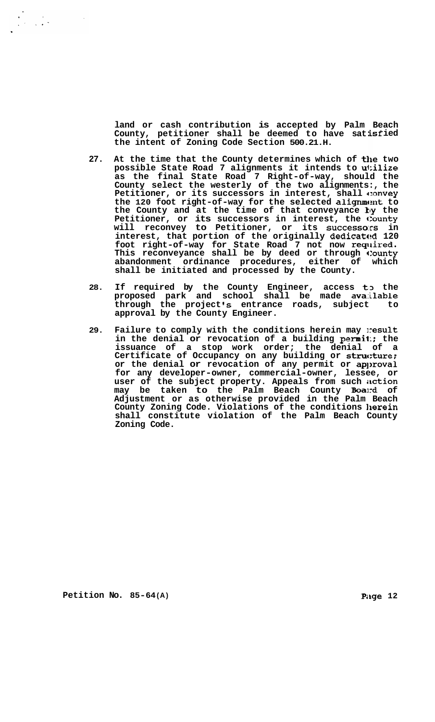**land or cash contribution is accepted by Palm**  County, petitioner shall be deemed to have satis **the intent of Zoning Code Section 500.21.H. Beach isf ied** 

- **27. At the time that the County determines which of the two possible State Road 7 alignments it intends to utilize as the final State Road 7 Right-of-way, should the County select the westerly of the two alignments:, the**  Petitioner, or its successors in interest, shall convey the 120 foot right-of-way for the selected alignment to the County and at the time of that conveyance ky the Petitioner, or its successors in interest, the County **will reconvey to Petitioner, or its successo:rs in interest, that portion of the originally dedicatttd 120**  foot right-of-way for State Road 7 not now required. **This reconveyance shall be by deed or through c:ounty abandonment ordinance procedures, either of which shall be initiated and processed by the County.**
- 28. If required by the County Engineer, access to the **proposed park and school shall be made avalilable through the project Is entrance roads, subject to approval by the County Engineer.**
- **29. Failure to comply with the conditions herein may result**  in the denial or revocation of a building permit:; the **issuance of a stop work order; the denial of a**  Certificate of Occupancy on any building or structure; **or the denial or revocation of any permit or aplxoval for any developer-owner, commercial-owner, lessee, or user of the subject property. Appeals from such ilction may be taken to the Palm Beach County Board of Adjustment or as otherwise provided in the Palm Beach County Zoning Code. Violations of the conditions llerein shall constitute violation of the Palm Beach County Zoning Code.**

**Petition No.** 85-64(A) **Patition No.** 85-64(A)